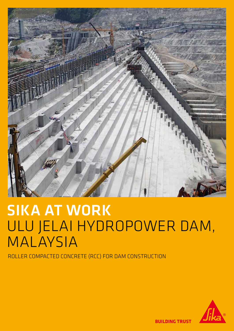

# SIKA AT WORK ULU JELAI HYDROPOWER DAM, MALAYSIA

ROLLER COMPACTED CONCRETE (RCC) FOR DAM CONSTRUCTION



**BUILDING TRUST**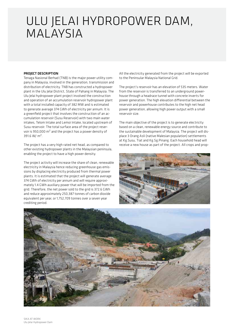## ULU JELAI HYDROPOWER DAM, MALAYSIA

### PROJECT DESCRIPTION

Tenaga Nasional Berhad (TNB) is the major power utility company in Malaysia, involved in the generation, transmission and distribution of electricity. TNB has constructed a hydropower plant in the Ulu Jelai District, State of Pahang in Malaysia. The Ulu Jelai hydropower plant project involved the construction and operation of an accumulation reservoir hydropower plant with a total installed capacity of 382 MW and is estimated to generate average 374 GWh of electricity per annum. It is a greenfield project that involves the construction of an accumulation reservoir (Susu Reservoir) with two main water intakes, Telom Intake and Lemoi Intake, located upstream of Susu reservoir. The total surface area of the project reservoir is 950,000 m² and the project has a power density of 391.6 W/ m².

The project has a very high rated net head, as compared to other existing hydropower plants in the Malaysian peninsula, enabling the project to have a high power density.

The project activity will increase the share of clean, renewable electricity in Malaysia hence reducing greenhouse gas emissions by displacing electricity produced from thermal power plants. It is estimated that the project will generate average 374 GWh of electricity per annum and will require approximately 1.4 GWh auxiliary power that will be imported from the grid. Therefore, the net power sold to the grid is 372.6 GWh and reduce approximately 250,387 tonnes of carbon dioxide equivalent per year, or 1,752,709 tonnes over a seven year crediting period.

All the electricity generated from the project will be exported to the Peninsular Malaysia National Grid.

The project's reservoir has an elevation of 535 meters. Water from the reservoir is transferred to an underground powerhouse through a headrace tunnel with concrete inverts for power generation. The high elevation differential between the reservoir and powerhouse contributes to the high net head power generation, allowing high power output with a small reservoir size.

The main objective of the project is to generate electricity based on a clean, renewable energy source and contribute to the sustainable development of Malaysia. The project will displace 3 Orang Asli (native Malesian population) settlements at Kg.Susu, Tiat and Kg.Sg.Pinang. Each household head will receive a new house as part of the project. All crops and prop-



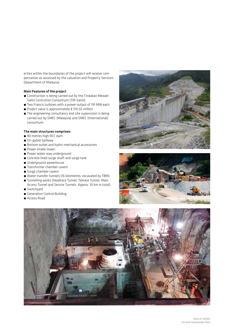erties within the boundaries of the project will receive compensation as assessed by the valuation and Property Services Department of Malaysia.

### Main Features of the project

- Construction is being carried out by the Tindakan Mewah-Salini Costruttori Consortium (TM-Salini).
- Two Francis turbines with a power output of 191 MW each.
- **•** Project value is approximately  $\epsilon$  515,55 million.
- $\blacksquare$  The engineering consultancy and site supervision is being carried out by SMEC (Malaysia) and SMEC (International) consortium.

### The main structures comprises:

- 90 metres high RCC dam
- Un-gated Spillway
- Bottom outlet and hydro-mechanical accessories
- **•** Power intake tower:
- **•** Power water-way underground
- Concrete lined surge shaft and surge tank
- **■** Underground powerhouse
- Transformer chamber cavern
- **E** Surge chamber cavern
- Water transfer tunnels (16 kilometres, excavated by TBM);
- Tunnelling works (Headrace Tunnel, Tailrace Tunnel, Main Access Tunnel and Service Tunnels Approx. 10 km in total).
- ́ Switchyard
- **E** Generation Control Building;
- Access Road